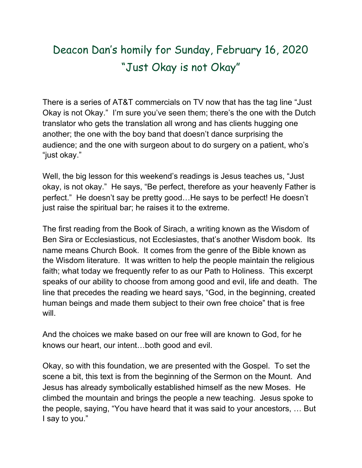## Deacon Dan's homily for Sunday, February 16, 2020 "Just Okay is not Okay"

There is a series of AT&T commercials on TV now that has the tag line "Just Okay is not Okay." I'm sure you've seen them; there's the one with the Dutch translator who gets the translation all wrong and has clients hugging one another; the one with the boy band that doesn't dance surprising the audience; and the one with surgeon about to do surgery on a patient, who's "just okay."

Well, the big lesson for this weekend's readings is Jesus teaches us, "Just okay, is not okay." He says, "Be perfect, therefore as your heavenly Father is perfect." He doesn't say be pretty good…He says to be perfect! He doesn't just raise the spiritual bar; he raises it to the extreme.

The first reading from the Book of Sirach, a writing known as the Wisdom of Ben Sira or Ecclesiasticus, not Ecclesiastes, that's another Wisdom book. Its name means Church Book. It comes from the genre of the Bible known as the Wisdom literature. It was written to help the people maintain the religious faith; what today we frequently refer to as our Path to Holiness. This excerpt speaks of our ability to choose from among good and evil, life and death. The line that precedes the reading we heard says, "God, in the beginning, created human beings and made them subject to their own free choice" that is free will.

And the choices we make based on our free will are known to God, for he knows our heart, our intent…both good and evil.

Okay, so with this foundation, we are presented with the Gospel. To set the scene a bit, this text is from the beginning of the Sermon on the Mount. And Jesus has already symbolically established himself as the new Moses. He climbed the mountain and brings the people a new teaching. Jesus spoke to the people, saying, "You have heard that it was said to your ancestors, … But I say to you."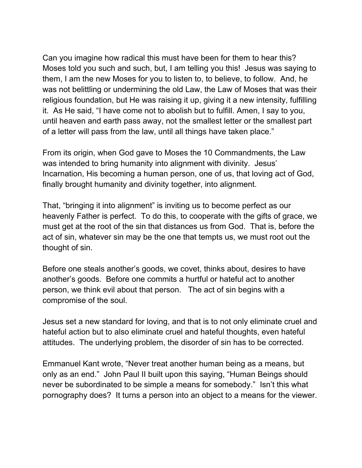Can you imagine how radical this must have been for them to hear this? Moses told you such and such, but, I am telling you this! Jesus was saying to them, I am the new Moses for you to listen to, to believe, to follow. And, he was not belittling or undermining the old Law, the Law of Moses that was their religious foundation, but He was raising it up, giving it a new intensity, fulfilling it. As He said, "I have come not to abolish but to fulfill. Amen, I say to you, until heaven and earth pass away, not the smallest letter or the smallest part of a letter will pass from the law, until all things have taken place."

From its origin, when God gave to Moses the 10 Commandments, the Law was intended to bring humanity into alignment with divinity. Jesus' Incarnation, His becoming a human person, one of us, that loving act of God, finally brought humanity and divinity together, into alignment.

That, "bringing it into alignment" is inviting us to become perfect as our heavenly Father is perfect. To do this, to cooperate with the gifts of grace, we must get at the root of the sin that distances us from God. That is, before the act of sin, whatever sin may be the one that tempts us, we must root out the thought of sin.

Before one steals another's goods, we covet, thinks about, desires to have another's goods. Before one commits a hurtful or hateful act to another person, we think evil about that person. The act of sin begins with a compromise of the soul.

Jesus set a new standard for loving, and that is to not only eliminate cruel and hateful action but to also eliminate cruel and hateful thoughts, even hateful attitudes. The underlying problem, the disorder of sin has to be corrected.

Emmanuel Kant wrote, "Never treat another human being as a means, but only as an end." John Paul II built upon this saying, "Human Beings should never be subordinated to be simple a means for somebody." Isn't this what pornography does? It turns a person into an object to a means for the viewer.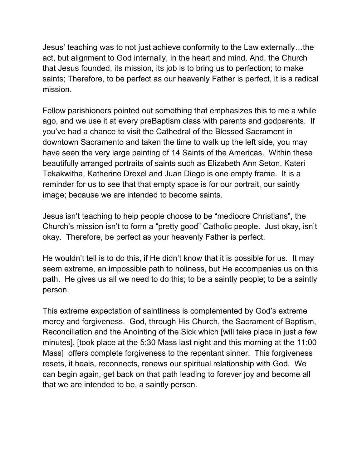Jesus' teaching was to not just achieve conformity to the Law externally…the act, but alignment to God internally, in the heart and mind. And, the Church that Jesus founded, its mission, its job is to bring us to perfection; to make saints; Therefore, to be perfect as our heavenly Father is perfect, it is a radical mission.

Fellow parishioners pointed out something that emphasizes this to me a while ago, and we use it at every preBaptism class with parents and godparents. If you've had a chance to visit the Cathedral of the Blessed Sacrament in downtown Sacramento and taken the time to walk up the left side, you may have seen the very large painting of 14 Saints of the Americas. Within these beautifully arranged portraits of saints such as Elizabeth Ann Seton, Kateri Tekakwitha, Katherine Drexel and Juan Diego is one empty frame. It is a reminder for us to see that that empty space is for our portrait, our saintly image; because we are intended to become saints.

Jesus isn't teaching to help people choose to be "mediocre Christians", the Church's mission isn't to form a "pretty good" Catholic people. Just okay, isn't okay. Therefore, be perfect as your heavenly Father is perfect.

He wouldn't tell is to do this, if He didn't know that it is possible for us. It may seem extreme, an impossible path to holiness, but He accompanies us on this path. He gives us all we need to do this; to be a saintly people; to be a saintly person.

This extreme expectation of saintliness is complemented by God's extreme mercy and forgiveness. God, through His Church, the Sacrament of Baptism, Reconciliation and the Anointing of the Sick which [will take place in just a few minutes], [took place at the 5:30 Mass last night and this morning at the 11:00 Mass] offers complete forgiveness to the repentant sinner. This forgiveness resets, it heals, reconnects, renews our spiritual relationship with God. We can begin again, get back on that path leading to forever joy and become all that we are intended to be, a saintly person.